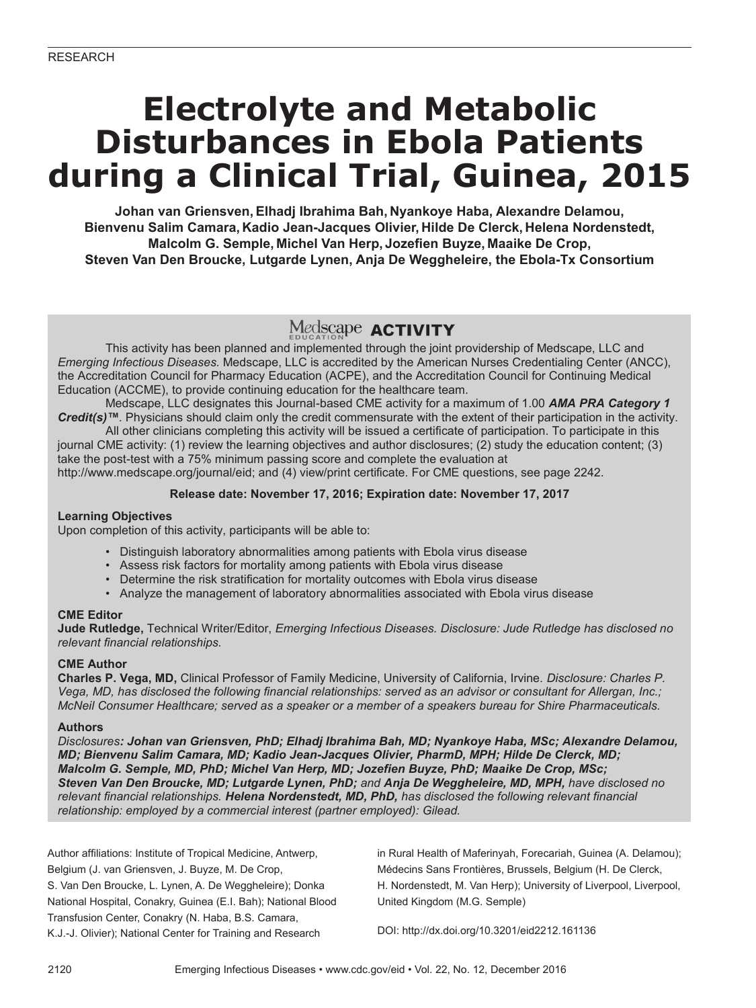# **Electrolyte and Metabolic Disturbances in Ebola Patients during a Clinical Trial, Guinea, 2015**

**Johan van Griensven,Elhadj Ibrahima Bah, Nyankoye Haba, Alexandre Delamou, Bienvenu Salim Camara, Kadio Jean-Jacques Olivier, Hilde De Clerck, Helena Nordenstedt, Malcolm G. Semple, Michel Van Herp, Jozefien Buyze, Maaike De Crop, Steven Van Den Broucke, Lutgarde Lynen, Anja De Weggheleire, the Ebola-Tx Consortium**

### Medscape **ACTIVITY**

This activity has been planned and implemented through the joint providership of Medscape, LLC and *Emerging Infectious Diseases.* Medscape, LLC is accredited by the American Nurses Credentialing Center (ANCC), the Accreditation Council for Pharmacy Education (ACPE), and the Accreditation Council for Continuing Medical Education (ACCME), to provide continuing education for the healthcare team.

Medscape, LLC designates this Journal-based CME activity for a maximum of 1.00 *AMA PRA Category 1 Credit(s)™*. Physicians should claim only the credit commensurate with the extent of their participation in the activity.

All other clinicians completing this activity will be issued a certificate of participation. To participate in this journal CME activity: (1) review the learning objectives and author disclosures; (2) study the education content; (3) take the post-test with a 75% minimum passing score and complete the evaluation at http://www.medscape.org/journal/eid; and (4) view/print certificate. For CME questions, see page 2242.

#### **Release date: November 17, 2016; Expiration date: November 17, 2017**

#### **Learning Objectives**

Upon completion of this activity, participants will be able to:

- Distinguish laboratory abnormalities among patients with Ebola virus disease
- Assess risk factors for mortality among patients with Ebola virus disease
- Determine the risk stratification for mortality outcomes with Ebola virus disease
- Analyze the management of laboratory abnormalities associated with Ebola virus disease

#### **CME Editor**

**Jude Rutledge,** Technical Writer/Editor, *Emerging Infectious Diseases. Disclosure: Jude Rutledge has disclosed no relevant financial relationships.*

#### **CME Author**

**Charles P. Vega, MD,** Clinical Professor of Family Medicine, University of California, Irvine. *Disclosure: Charles P. Vega, MD, has disclosed the following financial relationships: served as an advisor or consultant for Allergan, Inc.; McNeil Consumer Healthcare; served as a speaker or a member of a speakers bureau for Shire Pharmaceuticals.*

#### **Authors**

*Disclosures: Johan van Griensven, PhD; Elhadj Ibrahima Bah, MD; Nyankoye Haba, MSc; Alexandre Delamou, MD; Bienvenu Salim Camara, MD; Kadio Jean-Jacques Olivier, PharmD, MPH; Hilde De Clerck, MD; Malcolm G. Semple, MD, PhD; Michel Van Herp, MD; Jozefien Buyze, PhD; Maaike De Crop, MSc; Steven Van Den Broucke, MD; Lutgarde Lynen, PhD; and Anja De Weggheleire, MD, MPH, have disclosed no relevant financial relationships. Helena Nordenstedt, MD, PhD, has disclosed the following relevant financial relationship: employed by a commercial interest (partner employed): Gilead.*

Author affiliations: Institute of Tropical Medicine, Antwerp, Belgium (J. van Griensven, J. Buyze, M. De Crop, S. Van Den Broucke, L. Lynen, A. De Weggheleire); Donka National Hospital, Conakry, Guinea (E.I. Bah); National Blood Transfusion Center, Conakry (N. Haba, B.S. Camara, K.J.-J. Olivier); National Center for Training and Research

in Rural Health of Maferinyah, Forecariah, Guinea (A. Delamou); Médecins Sans Frontières, Brussels, Belgium (H. De Clerck, H. Nordenstedt, M. Van Herp); University of Liverpool, Liverpool, United Kingdom (M.G. Semple)

DOI: http://dx.doi.org/10.3201/eid2212.161136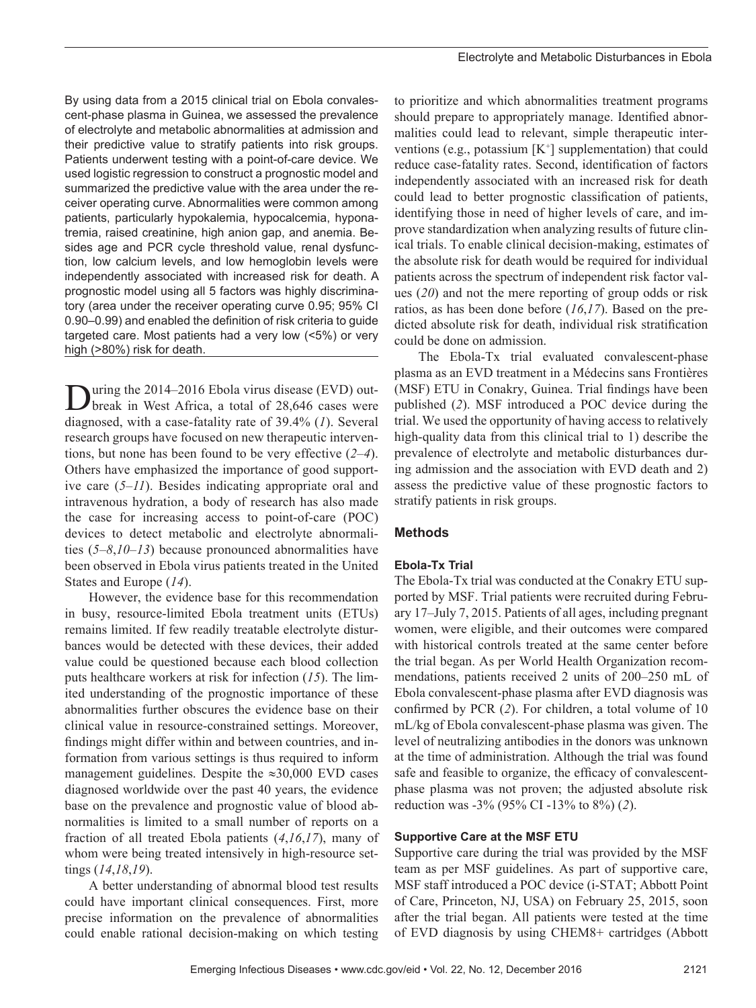By using data from a 2015 clinical trial on Ebola convalescent-phase plasma in Guinea, we assessed the prevalence of electrolyte and metabolic abnormalities at admission and their predictive value to stratify patients into risk groups. Patients underwent testing with a point-of-care device. We used logistic regression to construct a prognostic model and summarized the predictive value with the area under the receiver operating curve. Abnormalities were common among patients, particularly hypokalemia, hypocalcemia, hyponatremia, raised creatinine, high anion gap, and anemia. Besides age and PCR cycle threshold value, renal dysfunction, low calcium levels, and low hemoglobin levels were independently associated with increased risk for death. A prognostic model using all 5 factors was highly discriminatory (area under the receiver operating curve 0.95; 95% CI 0.90–0.99) and enabled the definition of risk criteria to guide targeted care. Most patients had a very low (<5%) or very high (>80%) risk for death.

During the 2014–2016 Ebola virus disease (EVD) out-<br>break in West Africa, a total of 28,646 cases were diagnosed, with a case-fatality rate of 39.4% (*1*). Several research groups have focused on new therapeutic interventions, but none has been found to be very effective (*2*–*4*). Others have emphasized the importance of good supportive care (*5*–*11*). Besides indicating appropriate oral and intravenous hydration, a body of research has also made the case for increasing access to point-of-care (POC) devices to detect metabolic and electrolyte abnormalities (*5*–*8*,*10*–*13*) because pronounced abnormalities have been observed in Ebola virus patients treated in the United States and Europe (*14*).

However, the evidence base for this recommendation in busy, resource-limited Ebola treatment units (ETUs) remains limited. If few readily treatable electrolyte disturbances would be detected with these devices, their added value could be questioned because each blood collection puts healthcare workers at risk for infection (*15*). The limited understanding of the prognostic importance of these abnormalities further obscures the evidence base on their clinical value in resource-constrained settings. Moreover, findings might differ within and between countries, and information from various settings is thus required to inform management guidelines. Despite the ≈30,000 EVD cases diagnosed worldwide over the past 40 years, the evidence base on the prevalence and prognostic value of blood abnormalities is limited to a small number of reports on a fraction of all treated Ebola patients (*4*,*16*,*17*), many of whom were being treated intensively in high-resource settings (*14*,*18*,*19*).

A better understanding of abnormal blood test results could have important clinical consequences. First, more precise information on the prevalence of abnormalities could enable rational decision-making on which testing

to prioritize and which abnormalities treatment programs should prepare to appropriately manage. Identified abnormalities could lead to relevant, simple therapeutic interventions (e.g., potassium  $[K^+]$  supplementation) that could reduce case-fatality rates. Second, identification of factors independently associated with an increased risk for death could lead to better prognostic classification of patients, identifying those in need of higher levels of care, and improve standardization when analyzing results of future clinical trials. To enable clinical decision-making, estimates of the absolute risk for death would be required for individual patients across the spectrum of independent risk factor values (*20*) and not the mere reporting of group odds or risk ratios, as has been done before (*16*,*17*). Based on the predicted absolute risk for death, individual risk stratification could be done on admission.

The Ebola-Tx trial evaluated convalescent-phase plasma as an EVD treatment in a Médecins sans Frontières (MSF) ETU in Conakry, Guinea. Trial findings have been published (*2*). MSF introduced a POC device during the trial. We used the opportunity of having access to relatively high-quality data from this clinical trial to 1) describe the prevalence of electrolyte and metabolic disturbances during admission and the association with EVD death and 2) assess the predictive value of these prognostic factors to stratify patients in risk groups.

#### **Methods**

#### **Ebola-Tx Trial**

The Ebola-Tx trial was conducted at the Conakry ETU supported by MSF. Trial patients were recruited during February 17–July 7, 2015. Patients of all ages, including pregnant women, were eligible, and their outcomes were compared with historical controls treated at the same center before the trial began. As per World Health Organization recommendations, patients received 2 units of 200–250 mL of Ebola convalescent-phase plasma after EVD diagnosis was confirmed by PCR (*2*). For children, a total volume of 10 mL/kg of Ebola convalescent-phase plasma was given. The level of neutralizing antibodies in the donors was unknown at the time of administration. Although the trial was found safe and feasible to organize, the efficacy of convalescentphase plasma was not proven; the adjusted absolute risk reduction was -3% (95% CI -13% to 8%) (*2*).

#### **Supportive Care at the MSF ETU**

Supportive care during the trial was provided by the MSF team as per MSF guidelines. As part of supportive care, MSF staff introduced a POC device (i-STAT; Abbott Point of Care, Princeton, NJ, USA) on February 25, 2015, soon after the trial began. All patients were tested at the time of EVD diagnosis by using CHEM8+ cartridges (Abbott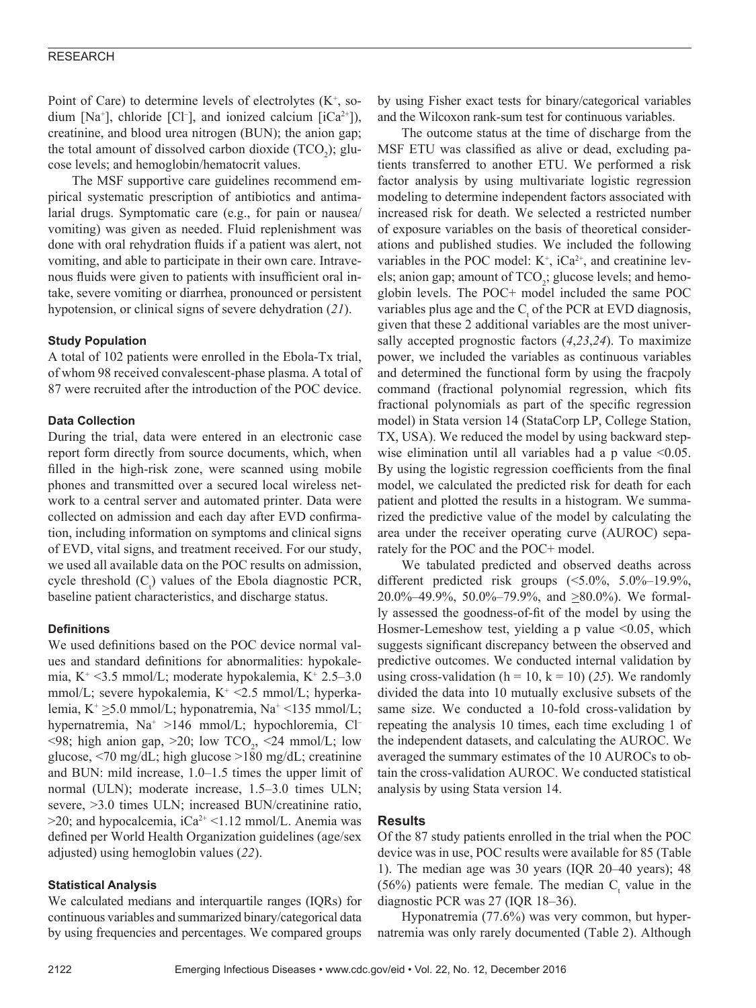#### RESEARCH

Point of Care) to determine levels of electrolytes  $(K^+, so$ dium [Na<sup>+</sup>], chloride [Cl<sup>-</sup>], and ionized calcium [iCa<sup>2+</sup>]), creatinine, and blood urea nitrogen (BUN); the anion gap; the total amount of dissolved carbon dioxide  $(TCO<sub>2</sub>)$ ; glucose levels; and hemoglobin/hematocrit values.

The MSF supportive care guidelines recommend empirical systematic prescription of antibiotics and antimalarial drugs. Symptomatic care (e.g., for pain or nausea/ vomiting) was given as needed. Fluid replenishment was done with oral rehydration fluids if a patient was alert, not vomiting, and able to participate in their own care. Intravenous fluids were given to patients with insufficient oral intake, severe vomiting or diarrhea, pronounced or persistent hypotension, or clinical signs of severe dehydration (*21*).

#### **Study Population**

A total of 102 patients were enrolled in the Ebola-Tx trial, of whom 98 received convalescent-phase plasma. A total of 87 were recruited after the introduction of the POC device.

#### **Data Collection**

During the trial, data were entered in an electronic case report form directly from source documents, which, when filled in the high-risk zone, were scanned using mobile phones and transmitted over a secured local wireless network to a central server and automated printer. Data were collected on admission and each day after EVD confirmation, including information on symptoms and clinical signs of EVD, vital signs, and treatment received. For our study, we used all available data on the POC results on admission, cycle threshold  $(C_t)$  values of the Ebola diagnostic PCR, baseline patient characteristics, and discharge status.

#### **Definitions**

We used definitions based on the POC device normal values and standard definitions for abnormalities: hypokalemia, K+ <3.5 mmol/L; moderate hypokalemia, K+ 2.5–3.0 mmol/L; severe hypokalemia, K<sup>+</sup> <2.5 mmol/L; hyperkalemia,  $K^+ \geq 5.0$  mmol/L; hyponatremia, Na<sup>+</sup> <135 mmol/L; hypernatremia, Na<sup>+</sup> >146 mmol/L; hypochloremia, Cl- $\langle 98; \text{ high anion gap}, \rangle 20; \text{ low TCO}_2, \langle 24 \text{ mmol/L}; \text{ low} \rangle$ glucose, <70 mg/dL; high glucose >180 mg/dL; creatinine and BUN: mild increase, 1.0–1.5 times the upper limit of normal (ULN); moderate increase, 1.5–3.0 times ULN; severe, >3.0 times ULN; increased BUN/creatinine ratio,  $>$ 20; and hypocalcemia, iCa<sup>2+</sup> <1.12 mmol/L. Anemia was defined per World Health Organization guidelines (age/sex adjusted) using hemoglobin values (*22*).

#### **Statistical Analysis**

We calculated medians and interquartile ranges (IQRs) for continuous variables and summarized binary/categorical data by using frequencies and percentages. We compared groups

by using Fisher exact tests for binary/categorical variables and the Wilcoxon rank-sum test for continuous variables.

The outcome status at the time of discharge from the MSF ETU was classified as alive or dead, excluding patients transferred to another ETU. We performed a risk factor analysis by using multivariate logistic regression modeling to determine independent factors associated with increased risk for death. We selected a restricted number of exposure variables on the basis of theoretical considerations and published studies. We included the following variables in the POC model:  $K^+$ ,  $iCa^{2+}$ , and creatinine levels; anion gap; amount of  $TCO_2$ ; glucose levels; and hemoglobin levels. The POC+ model included the same POC variables plus age and the  $C<sub>t</sub>$  of the PCR at EVD diagnosis, given that these 2 additional variables are the most universally accepted prognostic factors (*4*,*23*,*24*). To maximize power, we included the variables as continuous variables and determined the functional form by using the fracpoly command (fractional polynomial regression, which fits fractional polynomials as part of the specific regression model) in Stata version 14 (StataCorp LP, College Station, TX, USA). We reduced the model by using backward stepwise elimination until all variables had a p value  $\leq 0.05$ . By using the logistic regression coefficients from the final model, we calculated the predicted risk for death for each patient and plotted the results in a histogram. We summarized the predictive value of the model by calculating the area under the receiver operating curve (AUROC) separately for the POC and the POC+ model.

We tabulated predicted and observed deaths across different predicted risk groups (<5.0%, 5.0%–19.9%, 20.0%–49.9%, 50.0%–79.9%, and  $\geq 80.0\%$ ). We formally assessed the goodness-of-fit of the model by using the Hosmer-Lemeshow test, yielding a p value  $\leq 0.05$ , which suggests significant discrepancy between the observed and predictive outcomes. We conducted internal validation by using cross-validation ( $h = 10$ ,  $k = 10$ ) (25). We randomly divided the data into 10 mutually exclusive subsets of the same size. We conducted a 10-fold cross-validation by repeating the analysis 10 times, each time excluding 1 of the independent datasets, and calculating the AUROC. We averaged the summary estimates of the 10 AUROCs to obtain the cross-validation AUROC. We conducted statistical analysis by using Stata version 14.

#### **Results**

Of the 87 study patients enrolled in the trial when the POC device was in use, POC results were available for 85 (Table 1). The median age was 30 years (IQR 20–40 years); 48 (56%) patients were female. The median  $C_t$  value in the diagnostic PCR was 27 (IQR 18–36).

Hyponatremia (77.6%) was very common, but hypernatremia was only rarely documented (Table 2). Although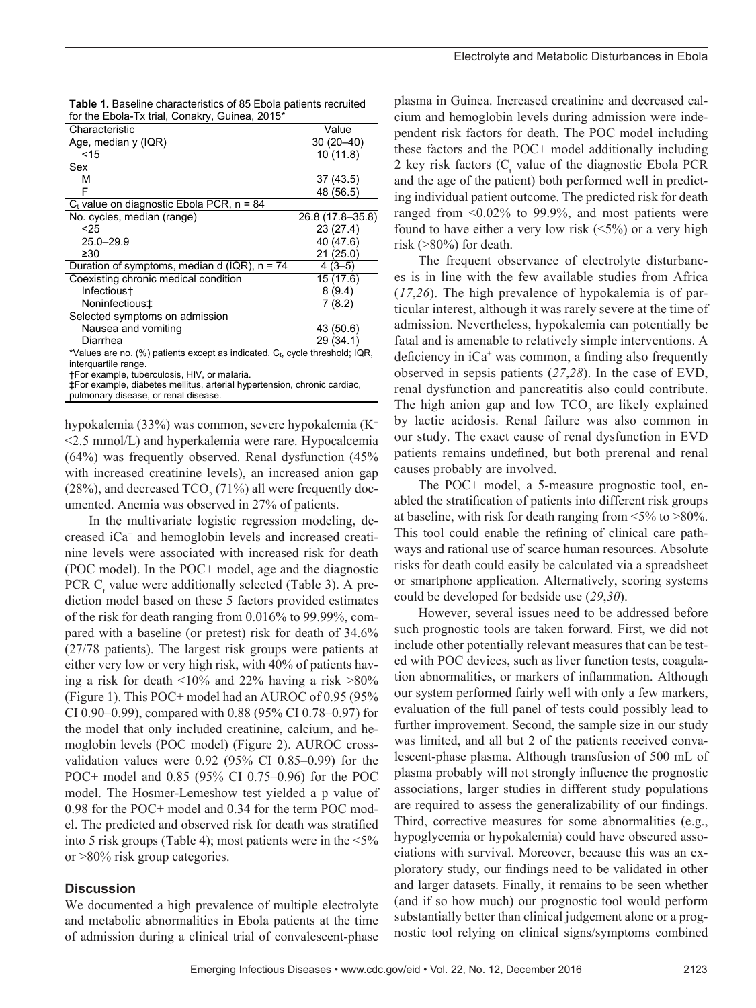| Characteristic                                 | Value            |
|------------------------------------------------|------------------|
| Age, median $y(IQR)$                           | $30(20-40)$      |
| < 15                                           | 10(11.8)         |
| Sex                                            |                  |
| м                                              | 37 (43.5)        |
| F                                              | 48 (56.5)        |
| $C_t$ value on diagnostic Ebola PCR, $n = 84$  |                  |
| No. cycles, median (range)                     | 26.8 (17.8–35.8) |
| <25                                            | 23(27.4)         |
| $25.0 - 29.9$                                  | 40 (47.6)        |
| $\geq 30$                                      | 21(25.0)         |
| Duration of symptoms, median d (IQR), $n = 74$ | $4(3-5)$         |
| Coexisting chronic medical condition           | 15(17.6)         |
| Infectious+                                    | 8(9.4)           |
| Noninfectious‡                                 | 7(8.2)           |
| Selected symptoms on admission                 |                  |
| Nausea and vomiting                            | 43 (50.6)        |
| Diarrhea                                       | 29 (34.1)        |

| <b>Table 1.</b> Baseline characteristics of 85 Ebola patients recruited |
|-------------------------------------------------------------------------|
| for the Ebola-Tx trial, Conakry, Guinea, 2015*                          |

\*Values are no. (%) patients except as indicated.  $C_t$ , cycle threshold; IQR, interquartile range.

†For example, tuberculosis, HIV, or malaria.

‡For example, diabetes mellitus, arterial hypertension, chronic cardiac, pulmonary disease, or renal disease.

hypokalemia (33%) was common, severe hypokalemia (K+ <2.5 mmol/L) and hyperkalemia were rare. Hypocalcemia (64%) was frequently observed. Renal dysfunction (45% with increased creatinine levels), an increased anion gap (28%), and decreased  $TCO<sub>2</sub>$  (71%) all were frequently documented. Anemia was observed in 27% of patients.

In the multivariate logistic regression modeling, decreased iCa+ and hemoglobin levels and increased creatinine levels were associated with increased risk for death (POC model). In the POC+ model, age and the diagnostic PCR  $C_t$  value were additionally selected (Table 3). A prediction model based on these 5 factors provided estimates of the risk for death ranging from 0.016% to 99.99%, compared with a baseline (or pretest) risk for death of 34.6% (27/78 patients). The largest risk groups were patients at either very low or very high risk, with 40% of patients having a risk for death <10% and 22% having a risk >80% (Figure 1). This POC+ model had an AUROC of 0.95 (95% CI 0.90–0.99), compared with 0.88 (95% CI 0.78–0.97) for the model that only included creatinine, calcium, and hemoglobin levels (POC model) (Figure 2). AUROC crossvalidation values were 0.92 (95% CI 0.85–0.99) for the POC+ model and 0.85 (95% CI 0.75–0.96) for the POC model. The Hosmer-Lemeshow test yielded a p value of 0.98 for the POC+ model and 0.34 for the term POC model. The predicted and observed risk for death was stratified into 5 risk groups (Table 4); most patients were in the <5% or >80% risk group categories.

#### **Discussion**

We documented a high prevalence of multiple electrolyte and metabolic abnormalities in Ebola patients at the time of admission during a clinical trial of convalescent-phase

plasma in Guinea. Increased creatinine and decreased calcium and hemoglobin levels during admission were independent risk factors for death. The POC model including these factors and the POC+ model additionally including 2 key risk factors  $(C_t)$  value of the diagnostic Ebola PCR and the age of the patient) both performed well in predicting individual patient outcome. The predicted risk for death ranged from <0.02% to 99.9%, and most patients were found to have either a very low risk  $(5\%)$  or a very high risk (>80%) for death.

The frequent observance of electrolyte disturbances is in line with the few available studies from Africa (*17*,*26*). The high prevalence of hypokalemia is of particular interest, although it was rarely severe at the time of admission. Nevertheless, hypokalemia can potentially be fatal and is amenable to relatively simple interventions. A deficiency in  $iCa^{+}$  was common, a finding also frequently observed in sepsis patients (*27*,*28*). In the case of EVD, renal dysfunction and pancreatitis also could contribute. The high anion gap and low  $TCO<sub>2</sub>$  are likely explained by lactic acidosis. Renal failure was also common in our study. The exact cause of renal dysfunction in EVD patients remains undefined, but both prerenal and renal causes probably are involved.

The POC+ model, a 5-measure prognostic tool, enabled the stratification of patients into different risk groups at baseline, with risk for death ranging from <5% to >80%. This tool could enable the refining of clinical care pathways and rational use of scarce human resources. Absolute risks for death could easily be calculated via a spreadsheet or smartphone application. Alternatively, scoring systems could be developed for bedside use (*29*,*30*).

However, several issues need to be addressed before such prognostic tools are taken forward. First, we did not include other potentially relevant measures that can be tested with POC devices, such as liver function tests, coagulation abnormalities, or markers of inflammation. Although our system performed fairly well with only a few markers, evaluation of the full panel of tests could possibly lead to further improvement. Second, the sample size in our study was limited, and all but 2 of the patients received convalescent-phase plasma. Although transfusion of 500 mL of plasma probably will not strongly influence the prognostic associations, larger studies in different study populations are required to assess the generalizability of our findings. Third, corrective measures for some abnormalities (e.g., hypoglycemia or hypokalemia) could have obscured associations with survival. Moreover, because this was an exploratory study, our findings need to be validated in other and larger datasets. Finally, it remains to be seen whether (and if so how much) our prognostic tool would perform substantially better than clinical judgement alone or a prognostic tool relying on clinical signs/symptoms combined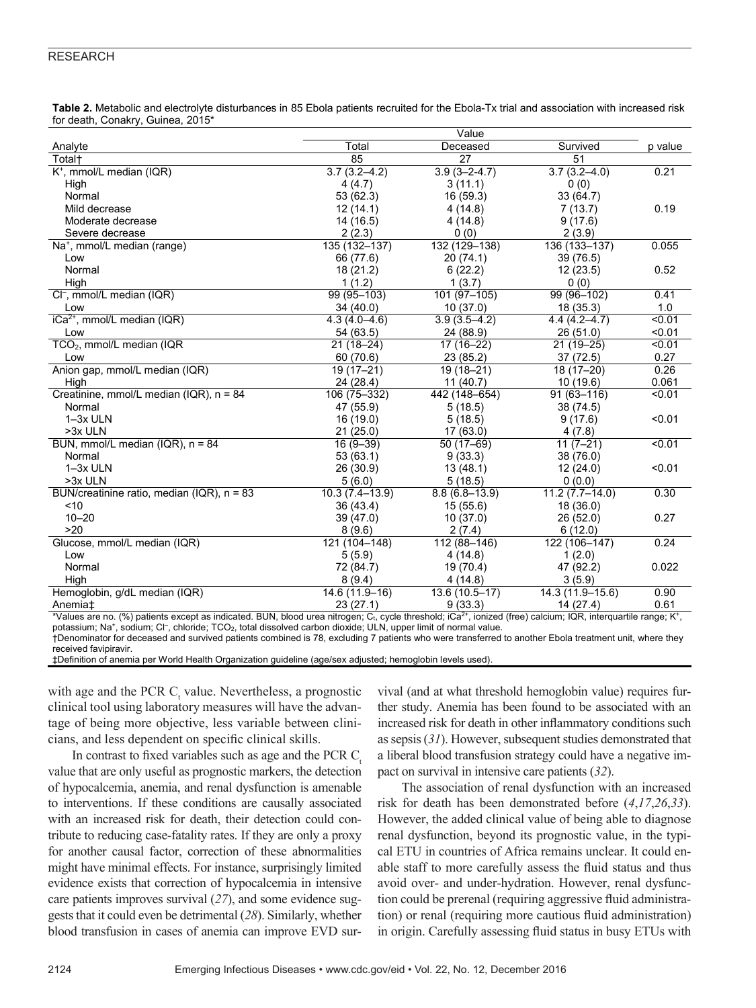#### RESEARCH

**Table 2.** Metabolic and electrolyte disturbances in 85 Ebola patients recruited for the Ebola-Tx trial and association with increased risk for death, Conakry, Guinea, 2015\*

|                                              |                    | Value              |                  |         |
|----------------------------------------------|--------------------|--------------------|------------------|---------|
| Analyte                                      | Total              | Deceased           | Survived         | p value |
| Totalt                                       | 85                 | 27                 | 51               |         |
| K <sup>+</sup> , mmol/L median (IQR)         | $3.7(3.2 - 4.2)$   | $3.9(3 - 2 - 4.7)$ | $3.7(3.2 - 4.0)$ | 0.21    |
| High                                         | 4(4.7)             | 3(11.1)            | 0(0)             |         |
| Normal                                       | 53 (62.3)          | 16 (59.3)          | 33 (64.7)        |         |
| Mild decrease                                | 12(14.1)           | 4(14.8)            | 7(13.7)          | 0.19    |
| Moderate decrease                            | 14 (16.5)          | 4(14.8)            | 9(17.6)          |         |
| Severe decrease                              | 2(2.3)             | 0(0)               | 2(3.9)           |         |
| Na <sup>+</sup> , mmol/L median (range)      | 135 (132-137)      | 132 (129-138)      | 136 (133-137)    | 0.055   |
| Low                                          | 66 (77.6)          | 20(74.1)           | 39(76.5)         |         |
| Normal                                       | 18 (21.2)          | 6(22.2)            | 12(23.5)         | 0.52    |
| High                                         | 1(1.2)             | 1(3.7)             | 0(0)             |         |
| CI <sup>-</sup> , mmol/L median (IQR)        | 99 (95-103)        | 101 (97-105)       | 99 (96-102)      | 0.41    |
| Low                                          | 34 (40.0)          | 10(37.0)           | 18(35.3)         | 1.0     |
| $iCa2+$ , mmol/L median (IQR)                | $4.3(4.0 - 4.6)$   | $3.9(3.5 - 4.2)$   | $4.4(4.2 - 4.7)$ | < 0.01  |
| Low                                          | 54 (63.5)          | 24 (88.9)          | 26 (51.0)        | < 0.01  |
| TCO <sub>2</sub> , mmol/L median (IQR        | $21(18-24)$        | $17(16-22)$        | $21(19-25)$      | < 0.01  |
| Low                                          | 60 (70.6)          | 23(85.2)           | 37(72.5)         | 0.27    |
| Anion gap, mmol/L median (IQR)               | 19 (17-21)         | 19 (18-21)         | 18 (17-20)       | 0.26    |
| High                                         | 24 (28.4)          | 11(40.7)           | 10 (19.6)        | 0.061   |
| Creatinine, mmol/L median (IQR), n = 84      | 106 (75-332)       | 442 (148-654)      | $91(63 - 116)$   | < 0.01  |
| Normal                                       | 47 (55.9)          | 5(18.5)            | 38 (74.5)        |         |
| 1-3x ULN                                     | 16 (19.0)          | 5(18.5)            | 9(17.6)          | < 0.01  |
| >3x ULN                                      | 21(25.0)           | 17(63.0)           | 4(7.8)           |         |
| BUN, mmol/L median (IQR), $n = 84$           | $16(9 - 39)$       | $50(17-69)$        | $11(7-21)$       | < 0.01  |
| Normal                                       | 53 (63.1)          | 9(33.3)            | 38 (76.0)        |         |
| 1-3x ULN                                     | 26(30.9)           | 13(48.1)           | 12(24.0)         | < 0.01  |
| >3x ULN                                      | 5(6.0)             | 5(18.5)            | 0(0.0)           |         |
| BUN/creatinine ratio, median (IQR), $n = 83$ | $10.3(7.4 - 13.9)$ | $8.8(6.8 - 13.9)$  | $11.2(7.7-14.0)$ | 0.30    |
| ~10                                          | 36 (43.4)          | 15(55.6)           | 18 (36.0)        |         |
| $10 - 20$                                    | 39(47.0)           | 10(37.0)           | 26(52.0)         | 0.27    |
| >20                                          | 8(9.6)             | 2(7.4)             | 6(12.0)          |         |
| Glucose, mmol/L median (IQR)                 | 121 (104-148)      | 112 (88-146)       | 122 (106-147)    | 0.24    |
| Low                                          | 5(5.9)             | 4(14.8)            | 1(2.0)           |         |
| Normal                                       | 72 (84.7)          | 19 (70.4)          | 47 (92.2)        | 0.022   |
| High                                         | 8(9.4)             | 4(14.8)            | 3(5.9)           |         |
| Hemoglobin, g/dL median (IQR)                | 14.6 (11.9-16)     | 13.6 (10.5-17)     | 14.3 (11.9-15.6) | 0.90    |
| Anemia <sup>±</sup>                          | 23(27.1)           | 9(33.3)            | 14 (27.4)        | 0.61    |

\*Values are no. (%) patients except as indicated. BUN, blood urea nitrogen; C<sub>t</sub>, cycle threshold; iCa<sup>2+</sup>, ionized (free) calcium; IQR, interquartile range; K<sup>+</sup>, potassium; Na+, sodium; Cl-, chloride; TCO<sub>2</sub>, total dissolved carbon dioxide; ULN, upper limit of normal value.

†Denominator for deceased and survived patients combined is 78, excluding 7 patients who were transferred to another Ebola treatment unit, where they received favipiravir.

‡Definition of anemia per World Health Organization guideline (age/sex adjusted; hemoglobin levels used).

with age and the PCR  $C_t$  value. Nevertheless, a prognostic clinical tool using laboratory measures will have the advantage of being more objective, less variable between clinicians, and less dependent on specific clinical skills.

In contrast to fixed variables such as age and the PCR  $C_{\epsilon}$ value that are only useful as prognostic markers, the detection of hypocalcemia, anemia, and renal dysfunction is amenable to interventions. If these conditions are causally associated with an increased risk for death, their detection could contribute to reducing case-fatality rates. If they are only a proxy for another causal factor, correction of these abnormalities might have minimal effects. For instance, surprisingly limited evidence exists that correction of hypocalcemia in intensive care patients improves survival (*27*), and some evidence suggests that it could even be detrimental (*28*). Similarly, whether blood transfusion in cases of anemia can improve EVD survival (and at what threshold hemoglobin value) requires further study. Anemia has been found to be associated with an increased risk for death in other inflammatory conditions such as sepsis (*31*). However, subsequent studies demonstrated that a liberal blood transfusion strategy could have a negative impact on survival in intensive care patients (*32*).

The association of renal dysfunction with an increased risk for death has been demonstrated before (*4*,*17*,*26*,*33*). However, the added clinical value of being able to diagnose renal dysfunction, beyond its prognostic value, in the typical ETU in countries of Africa remains unclear. It could enable staff to more carefully assess the fluid status and thus avoid over- and under-hydration. However, renal dysfunction could be prerenal (requiring aggressive fluid administration) or renal (requiring more cautious fluid administration) in origin. Carefully assessing fluid status in busy ETUs with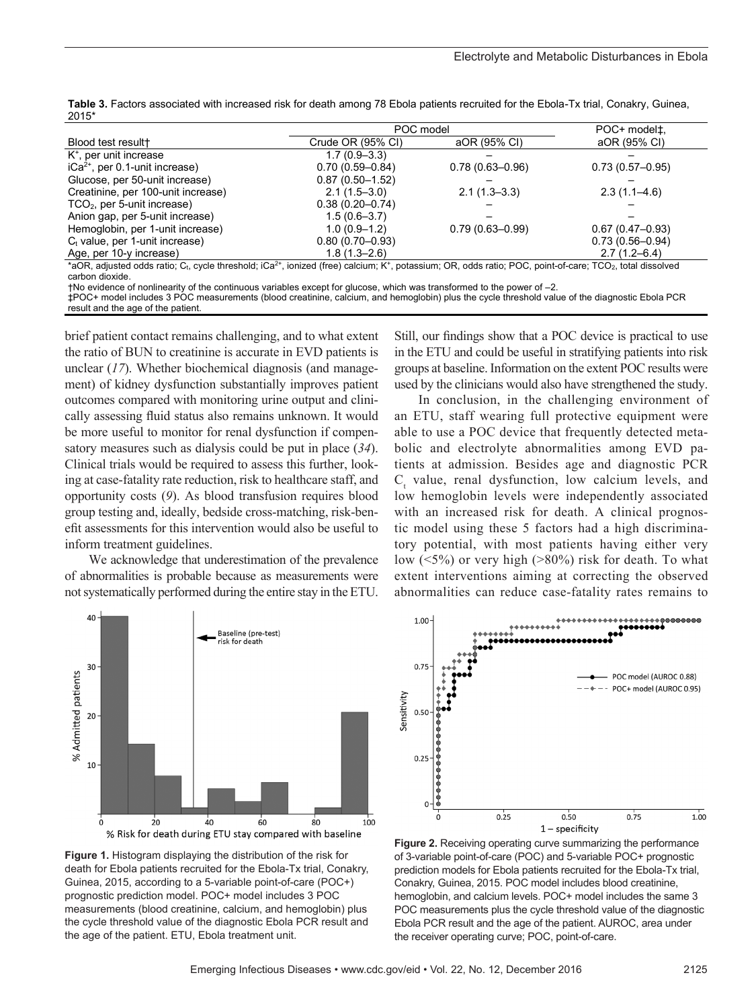| Table 3. Factors associated with increased risk for death among 78 Ebola patients recruited for the Ebola-Tx trial, Conakry, Guinea, |  |
|--------------------------------------------------------------------------------------------------------------------------------------|--|
| 2015*                                                                                                                                |  |

|                                                                                                                                                                                                             | POC model           |                     | POC+ model <sup>±</sup> . |
|-------------------------------------------------------------------------------------------------------------------------------------------------------------------------------------------------------------|---------------------|---------------------|---------------------------|
| Blood test result+                                                                                                                                                                                          | Crude OR (95% CI)   | aOR (95% CI)        | aOR (95% CI)              |
| K <sup>+</sup> , per unit increase                                                                                                                                                                          | $1.7(0.9 - 3.3)$    |                     |                           |
| $iCa2+$ , per 0.1-unit increase)                                                                                                                                                                            | $0.70(0.59 - 0.84)$ | $0.78(0.63 - 0.96)$ | $0.73(0.57-0.95)$         |
| Glucose, per 50-unit increase)                                                                                                                                                                              | $0.87(0.50 - 1.52)$ |                     |                           |
| Creatinine, per 100-unit increase)                                                                                                                                                                          | $2.1(1.5-3.0)$      | $2.1(1.3-3.3)$      | $2.3(1.1 - 4.6)$          |
| $TCO2$ , per 5-unit increase)                                                                                                                                                                               | $0.38(0.20 - 0.74)$ |                     |                           |
| Anion gap, per 5-unit increase)                                                                                                                                                                             | $1.5(0.6 - 3.7)$    |                     |                           |
| Hemoglobin, per 1-unit increase)                                                                                                                                                                            | $1.0(0.9-1.2)$      | $0.79(0.63 - 0.99)$ | $0.67(0.47-0.93)$         |
| $C_t$ value, per 1-unit increase)                                                                                                                                                                           | $0.80(0.70 - 0.93)$ |                     | $0.73(0.56 - 0.94)$       |
| Age, per 10-y increase)                                                                                                                                                                                     | $1.8(1.3 - 2.6)$    |                     | $2.7(1.2 - 6.4)$          |
| *aOR, adjusted odds ratio; C <sub>t</sub> , cycle threshold; iCa <sup>2+</sup> , ionized (free) calcium; K <sup>+</sup> , potassium; OR, odds ratio; POC, point-of-care; TCO <sub>2</sub> , total dissolved |                     |                     |                           |

carbon dioxide.

†No evidence of nonlinearity of the continuous variables except for glucose, which was transformed to the power of –2. ‡POC+ model includes 3 POC measurements (blood creatinine, calcium, and hemoglobin) plus the cycle threshold value of the diagnostic Ebola PCR result and the age of the patient.

brief patient contact remains challenging, and to what extent the ratio of BUN to creatinine is accurate in EVD patients is unclear (*17*). Whether biochemical diagnosis (and management) of kidney dysfunction substantially improves patient outcomes compared with monitoring urine output and clinically assessing fluid status also remains unknown. It would be more useful to monitor for renal dysfunction if compensatory measures such as dialysis could be put in place (*34*). Clinical trials would be required to assess this further, looking at case-fatality rate reduction, risk to healthcare staff, and opportunity costs (*9*). As blood transfusion requires blood group testing and, ideally, bedside cross-matching, risk-benefit assessments for this intervention would also be useful to inform treatment guidelines.

We acknowledge that underestimation of the prevalence of abnormalities is probable because as measurements were not systematically performed during the entire stay in the ETU.



In conclusion, in the challenging environment of an ETU, staff wearing full protective equipment were able to use a POC device that frequently detected metabolic and electrolyte abnormalities among EVD patients at admission. Besides age and diagnostic PCR  $C<sub>t</sub>$  value, renal dysfunction, low calcium levels, and low hemoglobin levels were independently associated with an increased risk for death. A clinical prognostic model using these 5 factors had a high discriminatory potential, with most patients having either very low  $(5\%)$  or very high  $(>80\%)$  risk for death. To what extent interventions aiming at correcting the observed abnormalities can reduce case-fatality rates remains to



**Figure 1.** Histogram displaying the distribution of the risk for death for Ebola patients recruited for the Ebola-Tx trial, Conakry, Guinea, 2015, according to a 5-variable point-of-care (POC+) prognostic prediction model. POC+ model includes 3 POC measurements (blood creatinine, calcium, and hemoglobin) plus the cycle threshold value of the diagnostic Ebola PCR result and the age of the patient. ETU, Ebola treatment unit.



**Figure 2.** Receiving operating curve summarizing the performance of 3-variable point-of-care (POC) and 5-variable POC+ prognostic prediction models for Ebola patients recruited for the Ebola-Tx trial, Conakry, Guinea, 2015. POC model includes blood creatinine, hemoglobin, and calcium levels. POC+ model includes the same 3 POC measurements plus the cycle threshold value of the diagnostic Ebola PCR result and the age of the patient. AUROC, area under the receiver operating curve; POC, point-of-care.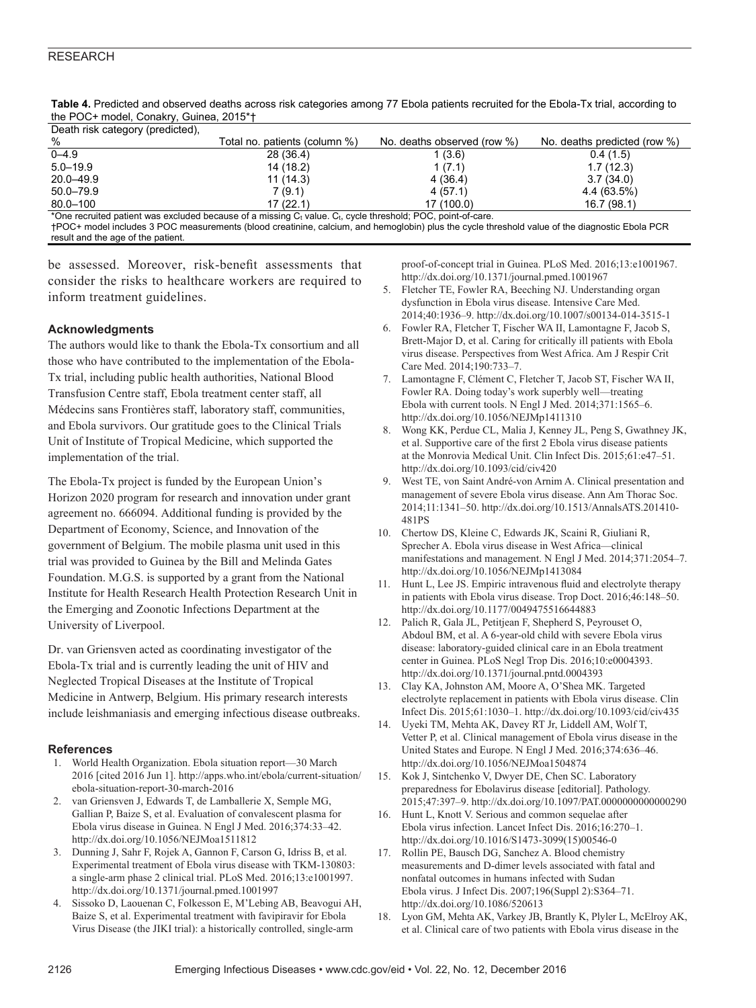| Death risk category (predicted). |                               |                             |                              |
|----------------------------------|-------------------------------|-----------------------------|------------------------------|
| %                                | Total no. patients (column %) | No. deaths observed (row %) | No. deaths predicted (row %) |
| $0 - 4.9$                        | 28 (36.4)                     | 1 (3.6)                     | 0.4(1.5)                     |
| $5.0 - 19.9$                     | 14 (18.2)                     | 1(7.1)                      | 1.7(12.3)                    |
| $20.0 - 49.9$                    | 11(14.3)                      | 4(36.4)                     | 3.7(34.0)                    |
| $50.0 - 79.9$                    | 7(9.1)                        | 4(57.1)                     | 4.4 (63.5%)                  |
| 80.0-100                         | 17(22.1)                      | 17 (100.0)                  | 16.7(98.1)                   |
| $\overline{a}$<br>.              | .<br>$\sim$                   |                             |                              |

**Table 4.** Predicted and observed deaths across risk categories among 77 Ebola patients recruited for the Ebola-Tx trial, according to the POC+ model, Conakry, Guinea, 2015\*†

 $*$ One recruited patient was excluded because of a missing  $C_t$  value.  $C_t$ , cycle threshold; POC, point-of-care. †POC+ model includes 3 POC measurements (blood creatinine, calcium, and hemoglobin) plus the cycle threshold value of the diagnostic Ebola PCR result and the age of the patient.

be assessed. Moreover, risk-benefit assessments that consider the risks to healthcare workers are required to inform treatment guidelines.

#### **Acknowledgments**

The authors would like to thank the Ebola-Tx consortium and all those who have contributed to the implementation of the Ebola-Tx trial, including public health authorities, National Blood Transfusion Centre staff, Ebola treatment center staff, all Médecins sans Frontières staff, laboratory staff, communities, and Ebola survivors. Our gratitude goes to the Clinical Trials Unit of Institute of Tropical Medicine, which supported the implementation of the trial.

The Ebola-Tx project is funded by the European Union's Horizon 2020 program for research and innovation under grant agreement no. 666094. Additional funding is provided by the Department of Economy, Science, and Innovation of the government of Belgium. The mobile plasma unit used in this trial was provided to Guinea by the Bill and Melinda Gates Foundation. M.G.S. is supported by a grant from the National Institute for Health Research Health Protection Research Unit in the Emerging and Zoonotic Infections Department at the University of Liverpool.

Dr. van Griensven acted as coordinating investigator of the Ebola-Tx trial and is currently leading the unit of HIV and Neglected Tropical Diseases at the Institute of Tropical Medicine in Antwerp, Belgium. His primary research interests include leishmaniasis and emerging infectious disease outbreaks.

#### **References**

- 1. World Health Organization. Ebola situation report—30 March 2016 [cited 2016 Jun 1]. http://apps.who.int/ebola/current-situation/ ebola-situation-report-30-march-2016
- 2. van Griensven J, Edwards T, de Lamballerie X, Semple MG, Gallian P, Baize S, et al. Evaluation of convalescent plasma for Ebola virus disease in Guinea. N Engl J Med. 2016;374:33–42. http://dx.doi.org/10.1056/NEJMoa1511812
- 3. Dunning J, Sahr F, Rojek A, Gannon F, Carson G, Idriss B, et al. Experimental treatment of Ebola virus disease with TKM-130803: a single-arm phase 2 clinical trial. PLoS Med. 2016;13:e1001997. http://dx.doi.org/10.1371/journal.pmed.1001997
- 4. Sissoko D, Laouenan C, Folkesson E, M'Lebing AB, Beavogui AH, Baize S, et al. Experimental treatment with favipiravir for Ebola Virus Disease (the JIKI trial): a historically controlled, single-arm

proof-of-concept trial in Guinea. PLoS Med. 2016;13:e1001967. http://dx.doi.org/10.1371/journal.pmed.1001967

- 5. Fletcher TE, Fowler RA, Beeching NJ. Understanding organ dysfunction in Ebola virus disease. Intensive Care Med. 2014;40:1936–9. http://dx.doi.org/10.1007/s00134-014-3515-1
- 6. Fowler RA, Fletcher T, Fischer WA II, Lamontagne F, Jacob S, Brett-Major D, et al. Caring for critically ill patients with Ebola virus disease. Perspectives from West Africa. Am J Respir Crit Care Med. 2014;190:733–7.
- 7. Lamontagne F, Clément C, Fletcher T, Jacob ST, Fischer WA II, Fowler RA. Doing today's work superbly well—treating Ebola with current tools. N Engl J Med. 2014;371:1565–6. http://dx.doi.org/10.1056/NEJMp1411310
- 8. Wong KK, Perdue CL, Malia J, Kenney JL, Peng S, Gwathney JK, et al. Supportive care of the first 2 Ebola virus disease patients at the Monrovia Medical Unit. Clin Infect Dis. 2015;61:e47–51. http://dx.doi.org/10.1093/cid/civ420
- 9. West TE, von Saint André-von Arnim A. Clinical presentation and management of severe Ebola virus disease. Ann Am Thorac Soc. 2014;11:1341–50. http://dx.doi.org/10.1513/AnnalsATS.201410- 481PS
- 10. Chertow DS, Kleine C, Edwards JK, Scaini R, Giuliani R, Sprecher A. Ebola virus disease in West Africa—clinical manifestations and management. N Engl J Med. 2014;371:2054–7. http://dx.doi.org/10.1056/NEJMp1413084
- 11. Hunt L, Lee JS. Empiric intravenous fluid and electrolyte therapy in patients with Ebola virus disease. Trop Doct. 2016;46:148–50. http://dx.doi.org/10.1177/0049475516644883
- 12. Palich R, Gala JL, Petitjean F, Shepherd S, Peyrouset O, Abdoul BM, et al. A 6-year-old child with severe Ebola virus disease: laboratory-guided clinical care in an Ebola treatment center in Guinea. PLoS Negl Trop Dis. 2016;10:e0004393. http://dx.doi.org/10.1371/journal.pntd.0004393
- 13. Clay KA, Johnston AM, Moore A, O'Shea MK. Targeted electrolyte replacement in patients with Ebola virus disease. Clin Infect Dis. 2015;61:1030–1. http://dx.doi.org/10.1093/cid/civ435
- 14. Uyeki TM, Mehta AK, Davey RT Jr, Liddell AM, Wolf T, Vetter P, et al. Clinical management of Ebola virus disease in the United States and Europe. N Engl J Med. 2016;374:636–46. http://dx.doi.org/10.1056/NEJMoa1504874
- 15. Kok J, Sintchenko V, Dwyer DE, Chen SC. Laboratory preparedness for Ebolavirus disease [editorial]. Pathology. 2015;47:397–9. http://dx.doi.org/10.1097/PAT.0000000000000290
- 16. Hunt L, Knott V. Serious and common sequelae after Ebola virus infection. Lancet Infect Dis. 2016;16:270–1. http://dx.doi.org/10.1016/S1473-3099(15)00546-0
- 17. Rollin PE, Bausch DG, Sanchez A. Blood chemistry measurements and D-dimer levels associated with fatal and nonfatal outcomes in humans infected with Sudan Ebola virus. J Infect Dis. 2007;196(Suppl 2):S364–71. http://dx.doi.org/10.1086/520613
- 18. Lyon GM, Mehta AK, Varkey JB, Brantly K, Plyler L, McElroy AK, et al. Clinical care of two patients with Ebola virus disease in the